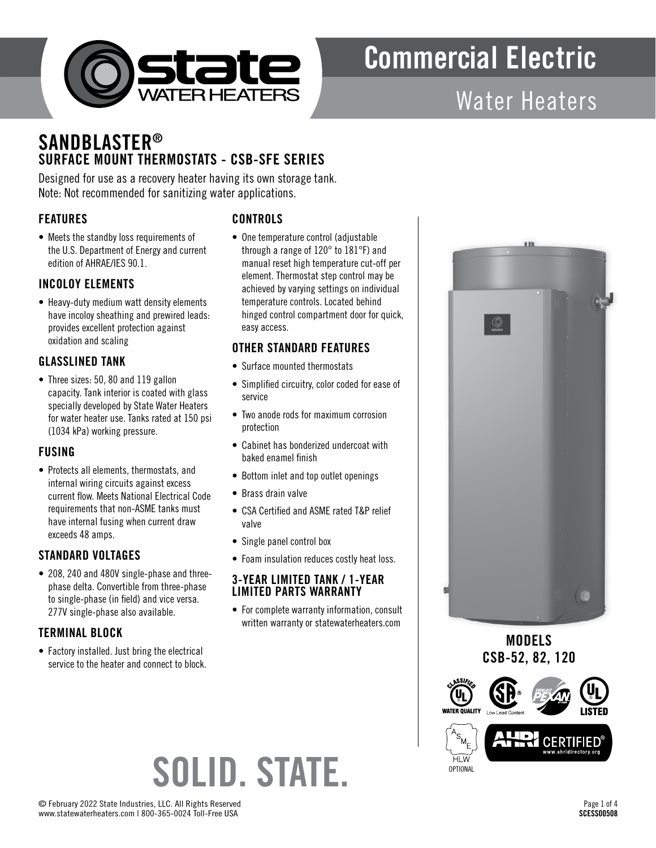

# Water Heaters

# **SANDBLASTER®** SURFACE MOUNT THERMOSTATS - CSB-SFE SERIES

Designed for use as a recovery heater having its own storage tank. Note: Not recommended for sanitizing water applications.

## FEATURES

• Meets the standby loss requirements of the U.S. Department of Energy and current edition of AHRAE/IES 90.1.

### INCOLOY ELEMENTS

• Heavy-duty medium watt density elements have incoloy sheathing and prewired leads: provides excellent protection against oxidation and scaling

## GLASSLINED TANK

• Three sizes: 50, 80 and 119 gallon capacity. Tank interior is coated with glass specially developed by State Water Heaters for water heater use. Tanks rated at 150 psi (1034 kPa) working pressure.

#### FUSING

• Protects all elements, thermostats, and internal wiring circuits against excess current flow. Meets National Electrical Code requirements that non-ASME tanks must have internal fusing when current draw exceeds 48 amps.

## STANDARD VOLTAGES

• 208, 240 and 480V single-phase and threephase delta. Convertible from three-phase to single-phase (in field) and vice versa. 277V single-phase also available.

## TERMINAL BLOCK

• Factory installed. Just bring the electrical service to the heater and connect to block. • One temperature control (adjustable through a range of 120° to 181°F) and manual reset high temperature cut-off per element. Thermostat step control may be achieved by varying settings on individual temperature controls. Located behind hinged control compartment door for quick,

**CONTROLS** 

easy access.

### OTHER STANDARD FEATURES

- Surface mounted thermostats
- Simplified circuitry, color coded for ease of service
- Two anode rods for maximum corrosion protection
- Cabinet has bonderized undercoat with baked enamel finish
- Bottom inlet and top outlet openings
- Brass drain valve

SOLID. STATE.

- CSA Certified and ASME rated T&P relief valve
- Single panel control box
- Foam insulation reduces costly heat loss.

#### 3-YEAR LIMITED TANK / 1-YEAR LIMITED PARTS WARRANTY

• For complete warranty information, consult written warranty or statewaterheaters.com



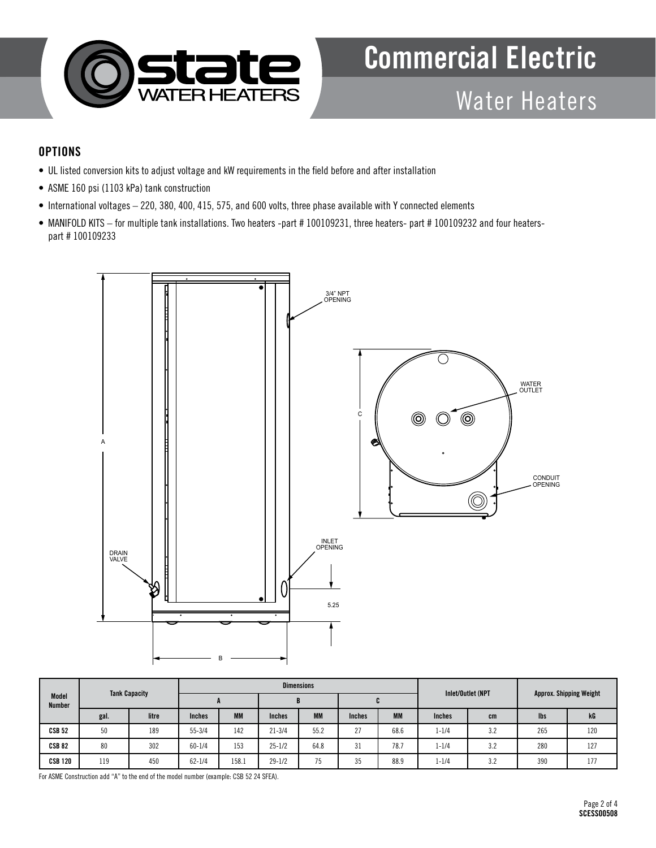

# Water Heaters

### **OPTIONS**

- UL listed conversion kits to adjust voltage and kW requirements in the field before and after installation
- ASME 160 psi (1103 kPa) tank construction
- International voltages 220, 380, 400, 415, 575, and 600 volts, three phase available with Y connected elements
- MANIFOLD KITS for multiple tank installations. Two heaters -part # 100109231, three heaters- part # 100109232 and four heaterspart # 100109233



| Model<br><b>Number</b> | <b>Tank Capacity</b> |       |               |           |               | <b>Dimensions</b> |               | Inlet/Outlet (NPT |               |     |                                |     |
|------------------------|----------------------|-------|---------------|-----------|---------------|-------------------|---------------|-------------------|---------------|-----|--------------------------------|-----|
|                        |                      |       |               |           | D             |                   | ъ.            |                   |               |     | <b>Approx. Shipping Weight</b> |     |
|                        | gal.                 | litre | <b>Inches</b> | <b>MM</b> | <b>Inches</b> | <b>MM</b>         | <b>Inches</b> | <b>MM</b>         | <b>Inches</b> | cm  | <b>lbs</b>                     | kG  |
| <b>CSB 52</b>          | 50                   | 189   | $55 - 3/4$    | 142       | $21 - 3/4$    | 55.2              | 27            | 68.6              | $1 - 1/4$     | 3.2 | 265                            | 120 |
| <b>CSB 82</b>          | 80                   | 302   | $60 - 1/4$    | 153       | $25 - 1/2$    | 64.8              | 31            | 78.7              | $1 - 1/4$     | 3.2 | 280                            | 127 |
| <b>CSB 120</b>         | 119                  | 450   | $62 - 1/4$    | 158.1     | $29 - 1/2$    | 75                | 35            | 88.9              | $1 - 1/4$     | 3.2 | 390                            | 177 |

For ASME Construction add "A" to the end of the model number (example: CSB 52 24 SFEA).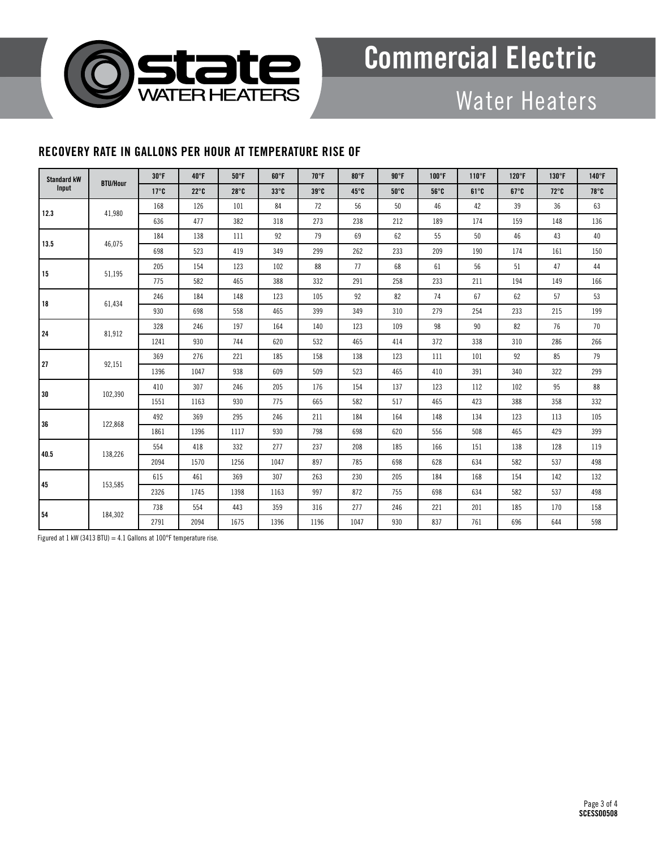

# Water Heaters

## RECOVERY RATE IN GALLONS PER HOUR AT TEMPERATURE RISE OF

| <b>Standard kW</b><br>Input | <b>BTU/Hour</b> | $30^{\circ}$ F | $40^{\circ}$ F | $50^{\circ}$ F | $60^{\circ}$ F            | 70°F         | $80^{\circ}$ F | 90°F         | $100^{\circ}$ F | $110^{\circ}$ F | $120^\circ F$ | 130°F          | 140°F        |
|-----------------------------|-----------------|----------------|----------------|----------------|---------------------------|--------------|----------------|--------------|-----------------|-----------------|---------------|----------------|--------------|
|                             |                 | $17^{\circ}$ C | $22^{\circ}$ C | $28^{\circ}$ C | $33^{\circ}$ <sub>C</sub> | $39^\circ C$ | $45^\circ$ C   | $50^\circ C$ | $56^{\circ}$ C  | $61^{\circ}$ C  | $67^\circ C$  | $72^{\circ}$ C | $78^\circ$ C |
| 12.3                        | 41,980          | 168            | 126            | 101            | 84                        | 72           | 56             | 50           | 46              | 42              | 39            | 36             | 63           |
|                             |                 | 636            | 477            | 382            | 318                       | 273          | 238            | 212          | 189             | 174             | 159           | 148            | 136          |
| 13.5                        | 46,075          | 184            | 138            | 111            | 92                        | 79           | 69             | 62           | 55              | 50              | 46            | 43             | 40           |
|                             |                 | 698            | 523            | 419            | 349                       | 299          | 262            | 233          | 209             | 190             | 174           | 161            | 150          |
| 15                          | 51,195          | 205            | 154            | 123            | 102                       | 88           | 77             | 68           | 61              | 56              | 51            | 47             | 44           |
|                             |                 | 775            | 582            | 465            | 388                       | 332          | 291            | 258          | 233             | 211             | 194           | 149            | 166          |
| 18                          | 61,434          | 246            | 184            | 148            | 123                       | 105          | 92             | 82           | 74              | 67              | 62            | 57             | 53           |
|                             |                 | 930            | 698            | 558            | 465                       | 399          | 349            | 310          | 279             | 254             | 233           | 215            | 199          |
| 24                          | 81,912          | 328            | 246            | 197            | 164                       | 140          | 123            | 109          | 98              | 90              | 82            | 76             | 70           |
|                             |                 | 1241           | 930            | 744            | 620                       | 532          | 465            | 414          | 372             | 338             | 310           | 286            | 266          |
| 27                          | 92,151          | 369            | 276            | 221            | 185                       | 158          | 138            | 123          | 111             | 101             | 92            | 85             | 79           |
|                             |                 | 1396           | 1047           | 938            | 609                       | 509          | 523            | 465          | 410             | 391             | 340           | 322            | 299          |
| 30                          | 102,390         | 410            | 307            | 246            | 205                       | 176          | 154            | 137          | 123             | 112             | 102           | 95             | 88           |
|                             |                 | 1551           | 1163           | 930            | 775                       | 665          | 582            | 517          | 465             | 423             | 388           | 358            | 332          |
| 36                          | 122,868         | 492            | 369            | 295            | 246                       | 211          | 184            | 164          | 148             | 134             | 123           | 113            | 105          |
|                             |                 | 1861           | 1396           | 1117           | 930                       | 798          | 698            | 620          | 556             | 508             | 465           | 429            | 399          |
| 40.5                        | 138,226         | 554            | 418            | 332            | 277                       | 237          | 208            | 185          | 166             | 151             | 138           | 128            | 119          |
|                             |                 | 2094           | 1570           | 1256           | 1047                      | 897          | 785            | 698          | 628             | 634             | 582           | 537            | 498          |
| 45                          | 153,585         | 615            | 461            | 369            | 307                       | 263          | 230            | 205          | 184             | 168             | 154           | 142            | 132          |
|                             |                 | 2326           | 1745           | 1398           | 1163                      | 997          | 872            | 755          | 698             | 634             | 582           | 537            | 498          |
| 54                          | 184,302         | 738            | 554            | 443            | 359                       | 316          | 277            | 246          | 221             | 201             | 185           | 170            | 158          |
|                             |                 | 2791           | 2094           | 1675           | 1396                      | 1196         | 1047           | 930          | 837             | 761             | 696           | 644            | 598          |

Figured at 1 kW (3413 BTU) = 4.1 Gallons at  $100^{\circ}$ F temperature rise.